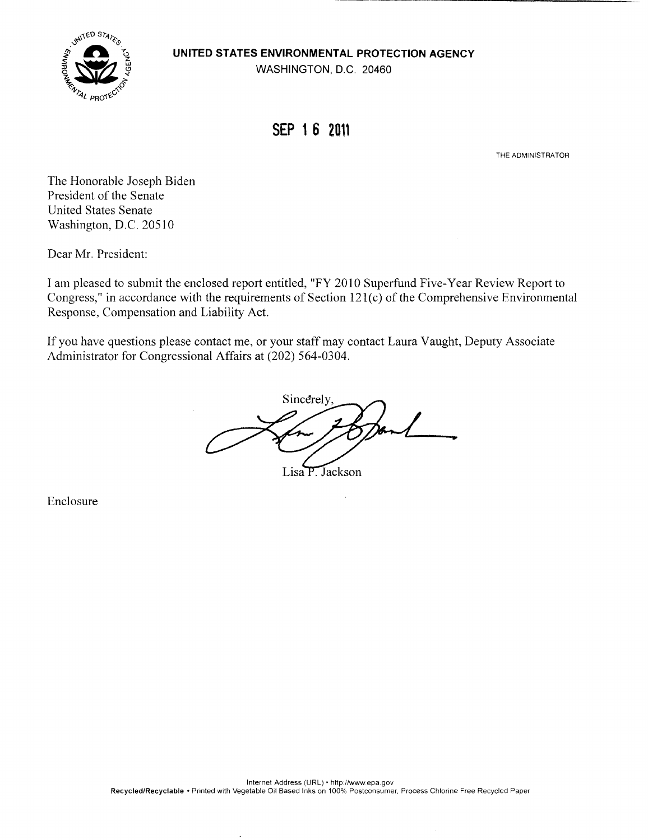**UNITED STATES ENVIRONMENTAL PROTECTION AGENCY** 



WASHINGTON, D.C. 20460

## SEP 16 2011

THE ADMINISTRATOR

The Honorable Joseph Biden President of the Senate United States Senate Washington, D.C. 20510

Dear Mr. President:

I am pleased to submit the enclosed report entitled, "FY 2010 Superfund Five-Year Review Report to Congress,' in accordance with the requirements of Section 121(c) of the Comprehensive Environmental Response, Compensation and Liability Act.

If you have questions please contact me, or your staff may contact Laura Vaught, Deputy Associate Administrator for Congressional Affairs at (202) *564-0304.* 

Sincerely

Lisa P. Jackson

Enclosure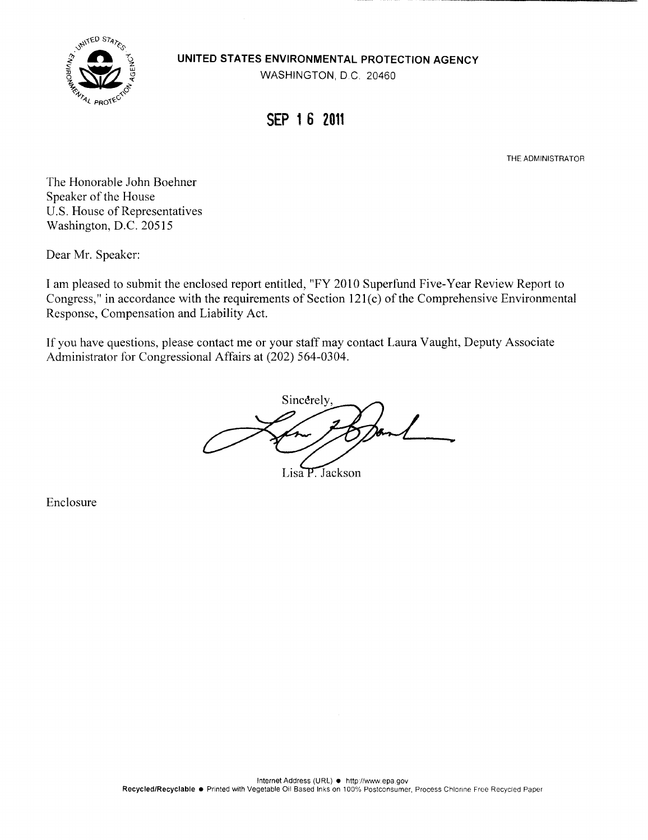





### SEP 16 2011

THE ADMINISTRATOR

The Honorable John Boehner Speaker of the House U.S. House of Representatives Washington, D.C. 20515

Dear Mr. Speaker:

I am pleased to submit the enclosed report entitled, "FY 2010 Superfund Five-Year Review Report to Congress,' in accordance with the requirements of Section 121(c) of the Comprehensive Environmental Response, Compensation and Liability Act.

If you have questions, please contact me or your staff may contact Laura Vaught, Deputy Associate Administrator for Congressional Affairs at (202) *564-0304.* 

Sincerely

Lisa P. Jackson

Enclosure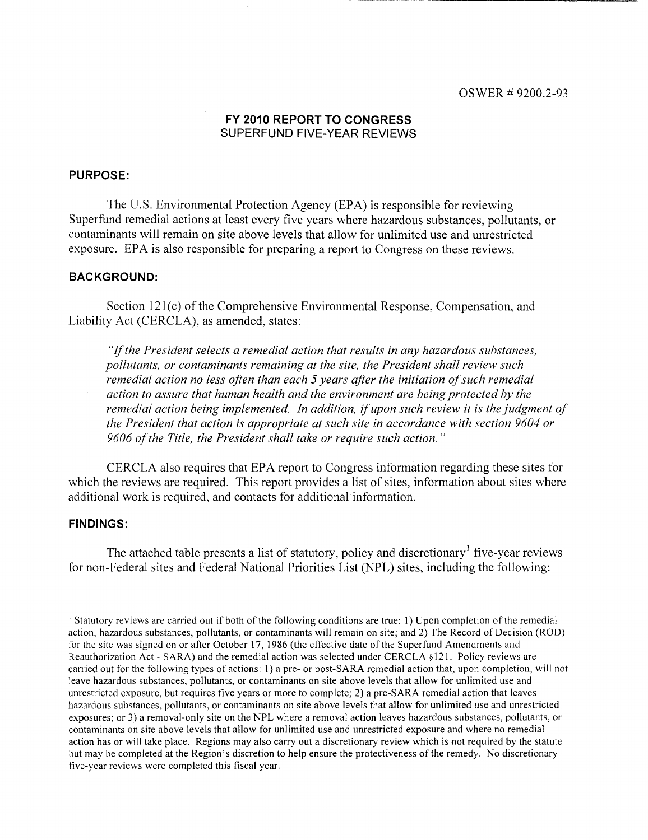#### **FY 2010 REPORT TO CONGRESS**  SUPERFUND FIVE-YEAR REVIEWS

### **PURPOSE:**

The U.S. Environmental Protection Agency (EPA) is responsible for reviewing Superfund remedial actions at least every five years where hazardous substances, pollutants, or contaminants will remain on site above levels that allow for unlimited use and unrestricted exposure. EPA is also responsible for preparing a report to Congress on these reviews.

#### **BACKGROUND:**

Section 121(c) of the Comprehensive Environmental Response, Compensation, and Liability Act (CERCLA), as amended, states:

"If the President selects a remedial action that results in any hazardous substances, pollutants, or contaminants remaining at the site, the President shall review such remedial action no less often than each 5 years after the initiation of such remedial action to assure that human health and the environment are being protected by the remedial action being implemented. In addition, if upon such review it is the judgment of the President that action is appropriate at such site in accordance with section 9604 or 9606 of the Title, the President shall take or require such action."

CERCLA also requires that EPA report to Congress information regarding these sites for which the reviews are required. This report provides a list of sites, information about sites where additional work is required, and contacts for additional information.

#### **FINDINGS:**

The attached table presents a list of statutory, policy and discretionary' five-year reviews for non-Federal sites and Federal National Priorities List (NPL) sites, including the following:

<sup>&</sup>lt;sup>1</sup> Statutory reviews are carried out if both of the following conditions are true: 1) Upon completion of the remedial action, hazardous substances, pollutants, or contaminants will remain on site; and 2) The Record of Decision (ROD) for the site was signed on or after October 17, 1986 (the effective date of the Superfund Amendments and Reauthorization Act - SARA) and the remedial action was selected under CERCLA §12 1. Policy reviews are carried out for the following types of actions: I) a pre- or post-SARA remedial action that, upon completion, will not leave hazardous substances, pollutants, or contaminants on site above levels that allow for unlimited use and unrestricted exposure, but requires five years or more to complete; 2) a pre-SARA remedial action that leaves hazardous substances, pollutants, or contaminants on site above levels that allow for unlimited use and unrestricted exposures; or 3) a removal-only site on the NPL where a removal action leaves hazardous substances, pollutants, or contaminants on site above levels that allow for unlimited use and unrestricted exposure and where no remedial action has or will take place. Regions may also carry out a discretionary review which is not required by the statute but may be completed at the Region's discretion to help ensure the protectiveness of the remedy. No discretionary five-year reviews were completed this fiscal year.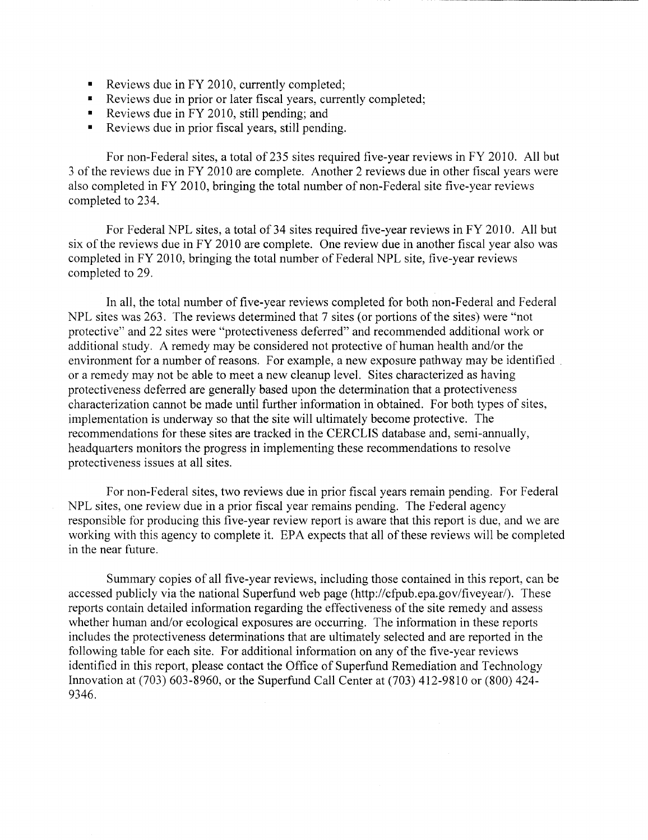- Reviews due in FY 2010, currently completed;
- Reviews due in prior or later fiscal years, currently completed;
- Reviews due in FY 2010, still pending; and
- Reviews due in prior fiscal years, still pending.

For non-Federal sites, a total of 235 sites required five-year reviews in FY 2010. All but 3 of the reviews due in FY 2010 are complete. Another 2 reviews due in other fiscal years were also completed in FY 2010, bringing the total number of non-Federal site five-year reviews completed to 234.

For Federal NPL sites, a total of 34 sites required five-year reviews in FY 2010. All but six of the reviews due in FY 2010 are complete. One review due in another fiscal year also was completed in FY 2010, bringing the total number of Federal NPL site, five-year reviews completed to 29.

In all, the total number of five-year reviews completed for both non-Federal and Federal NPL sites was 263. The reviews determined that 7 sites (or portions of the sites) were "not protective" and 22 sites were "protectiveness deferred" and recommended additional work or additional study. A remedy may be considered not protective of human health and/or the environment for a number of reasons. For example, a new exposure pathway may be identified or a remedy may not be able to meet a new cleanup level. Sites characterized as having protectiveness deferred are generally based upon the determination that a protectiveness characterization cannot be made until further information in obtained. For both types of sites, implementation is underway so that the site will ultimately become protective. The recommendations for these sites are tracked in the CERCLIS database and, semi-annually, headquarters monitors the progress in implementing these recommendations to resolve protectiveness issues at all sites.

For non-Federal sites, two reviews due in prior fiscal years remain pending. For Federal NPL sites, one review due in a prior fiscal year remains pending. The Federal agency responsible for producing this five-year review report is aware that this report is due, and we are working with this agency to complete it. EPA expects that all of these reviews will be completed in the near future.

Summary copies of all five-year reviews, including those contained in this report, can be accessed publicly via the national Superfund web page (http://cfpub.epa.gov/fiveyear/). These reports contain detailed information regarding the effectiveness of the site remedy and assess whether human and/or ecological exposures are occurring. The information in these reports includes the protectiveness determinations that are ultimately selected and are reported in the following table for each site. For additional information on any of the five-year reviews identified in this report, please contact the Office of Superfund Remediation and Technology Innovation at (703) 603-8960, or the Superfund Call Center at (703) 412-9810 or (800) 424- 9346.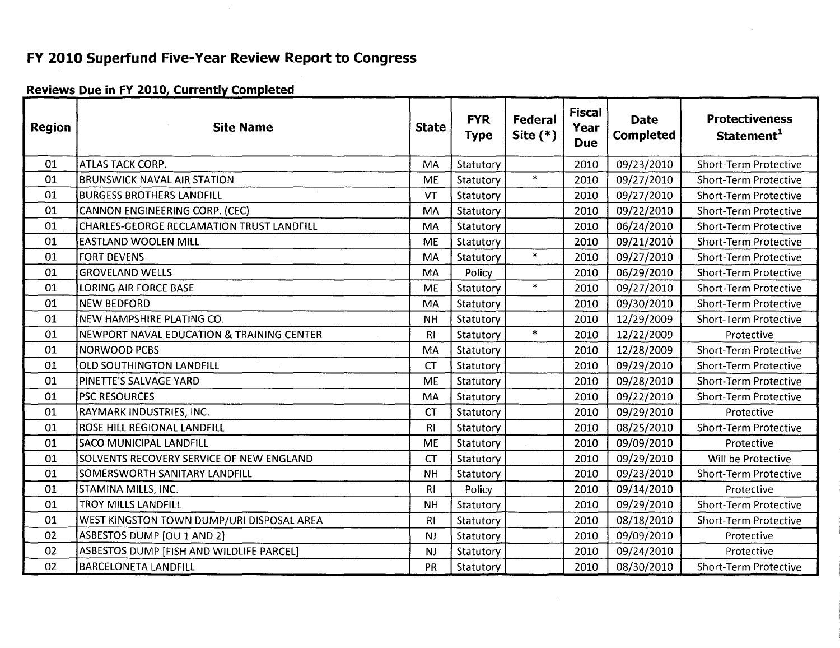### FY 2010 Superfund Five-Year Review Report to Congress

### **Reviews Due in FY 2010, Currently Completed**

| <b>Region</b> | <b>Site Name</b>                                 | <b>State</b>   | <b>FYR</b><br><b>Type</b> | Federal<br>Site $(*)$ | <b>Fiscal</b><br>Year<br><b>Due</b> | <b>Date</b><br><b>Completed</b> | <b>Protectiveness</b><br>Statement <sup>1</sup> |
|---------------|--------------------------------------------------|----------------|---------------------------|-----------------------|-------------------------------------|---------------------------------|-------------------------------------------------|
| 01            | ATLAS TACK CORP.                                 | MA             | Statutory                 |                       | 2010                                | 09/23/2010                      | <b>Short-Term Protective</b>                    |
| 01            | <b>BRUNSWICK NAVAL AIR STATION</b>               | <b>ME</b>      | Statutory                 | $\ast$                | 2010                                | 09/27/2010                      | <b>Short-Term Protective</b>                    |
| 01            | <b>BURGESS BROTHERS LANDFILL</b>                 | VT             | Statutory                 |                       | 2010                                | 09/27/2010                      | <b>Short-Term Protective</b>                    |
| 01            | <b>CANNON ENGINEERING CORP. (CEC)</b>            | <b>MA</b>      | Statutory                 |                       | 2010                                | 09/22/2010                      | <b>Short-Term Protective</b>                    |
| 01            | <b>CHARLES-GEORGE RECLAMATION TRUST LANDFILL</b> | <b>MA</b>      | Statutory                 |                       | 2010                                | 06/24/2010                      | <b>Short-Term Protective</b>                    |
| 01            | EASTLAND WOOLEN MILL                             | <b>ME</b>      | Statutory                 |                       | 2010                                | 09/21/2010                      | <b>Short-Term Protective</b>                    |
| 01            | <b>FORT DEVENS</b>                               | MA             | Statutory                 | $\ast$                | 2010                                | 09/27/2010                      | <b>Short-Term Protective</b>                    |
| 01            | <b>GROVELAND WELLS</b>                           | MA             | Policy                    |                       | 2010                                | 06/29/2010                      | <b>Short-Term Protective</b>                    |
| 01            | <b>LORING AIR FORCE BASE</b>                     | <b>ME</b>      | Statutory                 | $\ast$                | 2010                                | 09/27/2010                      | <b>Short-Term Protective</b>                    |
| 01            | <b>NEW BEDFORD</b>                               | MA             | Statutory                 |                       | 2010                                | 09/30/2010                      | <b>Short-Term Protective</b>                    |
| 01            | NEW HAMPSHIRE PLATING CO.                        | <b>NH</b>      | Statutory                 |                       | 2010                                | 12/29/2009                      | <b>Short-Term Protective</b>                    |
| 01            | NEWPORT NAVAL EDUCATION & TRAINING CENTER        | R <sub>1</sub> | Statutory                 | $\ast$                | 2010                                | 12/22/2009                      | Protective                                      |
| 01            | <b>NORWOOD PCBS</b>                              | MA             | Statutory                 |                       | 2010                                | 12/28/2009                      | <b>Short-Term Protective</b>                    |
| 01            | <b>OLD SOUTHINGTON LANDFILL</b>                  | <b>CT</b>      | Statutory                 |                       | 2010                                | 09/29/2010                      | <b>Short-Term Protective</b>                    |
| 01            | PINETTE'S SALVAGE YARD                           | <b>ME</b>      | Statutory                 |                       | 2010                                | 09/28/2010                      | <b>Short-Term Protective</b>                    |
| 01            | <b>PSC RESOURCES</b>                             | <b>MA</b>      | Statutory                 |                       | 2010                                | 09/22/2010                      | <b>Short-Term Protective</b>                    |
| 01            | RAYMARK INDUSTRIES, INC.                         | <b>CT</b>      | Statutory                 |                       | 2010                                | 09/29/2010                      | Protective                                      |
| 01            | ROSE HILL REGIONAL LANDFILL                      | R <sub>l</sub> | Statutory                 |                       | 2010                                | 08/25/2010                      | <b>Short-Term Protective</b>                    |
| 01            | <b>SACO MUNICIPAL LANDFILL</b>                   | <b>ME</b>      | Statutory                 |                       | 2010                                | 09/09/2010                      | Protective                                      |
| 01            | SOLVENTS RECOVERY SERVICE OF NEW ENGLAND         | <b>CT</b>      | Statutory                 |                       | 2010                                | 09/29/2010                      | Will be Protective                              |
| 01            | <b>SOMERSWORTH SANITARY LANDFILL</b>             | <b>NH</b>      | Statutory                 |                       | 2010                                | 09/23/2010                      | <b>Short-Term Protective</b>                    |
| 01            | STAMINA MILLS, INC.                              | R1             | Policy                    |                       | 2010                                | 09/14/2010                      | Protective                                      |
| 01            | <b>TROY MILLS LANDFILL</b>                       | <b>NH</b>      | Statutory                 |                       | 2010                                | 09/29/2010                      | <b>Short-Term Protective</b>                    |
| 01            | WEST KINGSTON TOWN DUMP/URI DISPOSAL AREA        | R <sub>1</sub> | Statutory                 |                       | 2010                                | 08/18/2010                      | <b>Short-Term Protective</b>                    |
| 02            | ASBESTOS DUMP [OU 1 AND 2]                       | NJ             | Statutory                 |                       | 2010                                | 09/09/2010                      | Protective                                      |
| 02            | ASBESTOS DUMP [FISH AND WILDLIFE PARCEL]         | <b>NJ</b>      | Statutory                 |                       | 2010                                | 09/24/2010                      | Protective                                      |
| 02            | <b>BARCELONETA LANDFILL</b>                      | PR             | Statutory                 |                       | 2010                                | 08/30/2010                      | <b>Short-Term Protective</b>                    |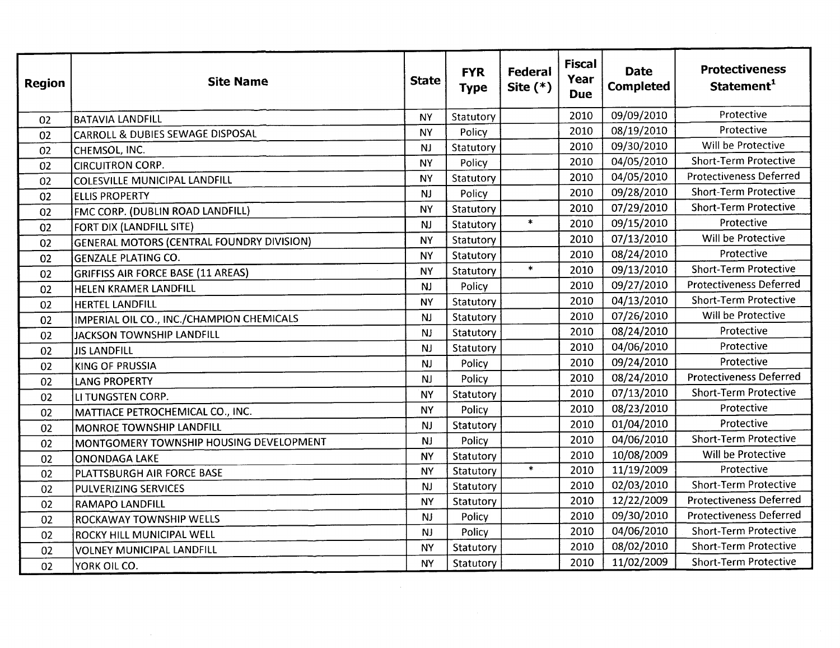| <b>Region</b> | <b>Site Name</b>                                 | <b>State</b> | <b>FYR</b><br><b>Type</b> | Federal<br>Site $(*)$ | <b>Fiscal</b><br><b>Year</b><br><b>Due</b> | <b>Date</b><br><b>Completed</b> | <b>Protectiveness</b><br>Statement <sup>1</sup> |
|---------------|--------------------------------------------------|--------------|---------------------------|-----------------------|--------------------------------------------|---------------------------------|-------------------------------------------------|
| 02            | <b>BATAVIA LANDFILL</b>                          | <b>NY</b>    | Statutory                 |                       | 2010                                       | 09/09/2010                      | Protective                                      |
| 02            | <b>CARROLL &amp; DUBIES SEWAGE DISPOSAL</b>      | <b>NY</b>    | Policy                    |                       | 2010                                       | 08/19/2010                      | Protective                                      |
| 02            | CHEMSOL, INC.                                    | <b>NJ</b>    | Statutory                 |                       | 2010                                       | 09/30/2010                      | Will be Protective                              |
| 02            | <b>CIRCUITRON CORP.</b>                          | <b>NY</b>    | Policy                    |                       | 2010                                       | 04/05/2010                      | <b>Short-Term Protective</b>                    |
| 02            | <b>COLESVILLE MUNICIPAL LANDFILL</b>             | <b>NY</b>    | Statutory                 |                       | 2010                                       | 04/05/2010                      | <b>Protectiveness Deferred</b>                  |
| 02            | <b>ELLIS PROPERTY</b>                            | <b>NJ</b>    | Policy                    |                       | 2010                                       | 09/28/2010                      | <b>Short-Term Protective</b>                    |
| 02            | FMC CORP. (DUBLIN ROAD LANDFILL)                 | <b>NY</b>    | Statutory                 |                       | 2010                                       | 07/29/2010                      | <b>Short-Term Protective</b>                    |
| 02            | FORT DIX (LANDFILL SITE)                         | <b>NJ</b>    | Statutory                 | $\star$               | 2010                                       | 09/15/2010                      | Protective                                      |
| 02            | <b>GENERAL MOTORS (CENTRAL FOUNDRY DIVISION)</b> | <b>NY</b>    | Statutory                 |                       | 2010                                       | 07/13/2010                      | Will be Protective                              |
| 02            | <b>GENZALE PLATING CO.</b>                       | <b>NY</b>    | Statutory                 |                       | 2010                                       | 08/24/2010                      | Protective                                      |
| 02            | <b>GRIFFISS AIR FORCE BASE (11 AREAS)</b>        | <b>NY</b>    | Statutory                 | $\ast$                | 2010                                       | 09/13/2010                      | <b>Short-Term Protective</b>                    |
| 02            | HELEN KRAMER LANDFILL                            | <b>NJ</b>    | Policy                    |                       | 2010                                       | 09/27/2010                      | <b>Protectiveness Deferred</b>                  |
| 02            | HERTEL LANDFILL                                  | <b>NY</b>    | Statutory                 |                       | 2010                                       | 04/13/2010                      | <b>Short-Term Protective</b>                    |
| 02            | IMPERIAL OIL CO., INC./CHAMPION CHEMICALS        | NJ           | Statutory                 |                       | 2010                                       | 07/26/2010                      | Will be Protective                              |
| 02            | <b>JACKSON TOWNSHIP LANDFILL</b>                 | <b>NJ</b>    | Statutory                 |                       | 2010                                       | 08/24/2010                      | Protective                                      |
| 02            | <b>JIS LANDFILL</b>                              | <b>NJ</b>    | Statutory                 |                       | 2010                                       | 04/06/2010                      | Protective                                      |
| 02            | <b>KING OF PRUSSIA</b>                           | <b>NJ</b>    | Policy                    |                       | 2010                                       | 09/24/2010                      | Protective                                      |
| 02            | <b>LANG PROPERTY</b>                             | <b>NJ</b>    | Policy                    |                       | 2010                                       | 08/24/2010                      | <b>Protectiveness Deferred</b>                  |
| 02            | LI TUNGSTEN CORP.                                | <b>NY</b>    | Statutory                 |                       | 2010                                       | 07/13/2010                      | <b>Short-Term Protective</b>                    |
| 02            | MATTIACE PETROCHEMICAL CO., INC.                 | <b>NY</b>    | Policy                    |                       | 2010                                       | 08/23/2010                      | Protective                                      |
| 02            | <b>MONROE TOWNSHIP LANDFILL</b>                  | <b>NJ</b>    | Statutory                 |                       | 2010                                       | 01/04/2010                      | Protective                                      |
| 02            | MONTGOMERY TOWNSHIP HOUSING DEVELOPMENT          | <b>NJ</b>    | Policy                    |                       | 2010                                       | 04/06/2010                      | <b>Short-Term Protective</b>                    |
| 02            | <b>ONONDAGA LAKE</b>                             | <b>NY</b>    | Statutory                 |                       | 2010                                       | 10/08/2009                      | Will be Protective                              |
| 02            | PLATTSBURGH AIR FORCE BASE                       | <b>NY</b>    | Statutory                 | $\ast$                | 2010                                       | 11/19/2009                      | Protective                                      |
| 02            | PULVERIZING SERVICES                             | NJ           | Statutory                 |                       | 2010                                       | 02/03/2010                      | <b>Short-Term Protective</b>                    |
| 02            | <b>RAMAPO LANDFILL</b>                           | <b>NY</b>    | Statutory                 |                       | 2010                                       | 12/22/2009                      | <b>Protectiveness Deferred</b>                  |
| 02            | <b>ROCKAWAY TOWNSHIP WELLS</b>                   | NJ           | Policy                    |                       | 2010                                       | 09/30/2010                      | <b>Protectiveness Deferred</b>                  |
| 02            | <b>ROCKY HILL MUNICIPAL WELL</b>                 | NJ           | Policy                    |                       | 2010                                       | 04/06/2010                      | <b>Short-Term Protective</b>                    |
| 02            | <b>VOLNEY MUNICIPAL LANDFILL</b>                 | <b>NY</b>    | Statutory                 |                       | 2010                                       | 08/02/2010                      | <b>Short-Term Protective</b>                    |
| 02            | lyork oil co.                                    | <b>NY</b>    | Statutory                 |                       | 2010                                       | 11/02/2009                      | <b>Short-Term Protective</b>                    |

 $\label{eq:2.1} \mathcal{L}(\mathcal{L}^{\text{max}}_{\mathcal{L}}(\mathcal{L}^{\text{max}}_{\mathcal{L}}(\mathcal{L}^{\text{max}}_{\mathcal{L}}(\mathcal{L}^{\text{max}}_{\mathcal{L}^{\text{max}}_{\mathcal{L}}(\mathcal{L}^{\text{max}}_{\mathcal{L}^{\text{max}}_{\mathcal{L}^{\text{max}}_{\mathcal{L}^{\text{max}}_{\mathcal{L}^{\text{max}}_{\mathcal{L}^{\text{max}}_{\mathcal{L}^{\text{max}}_{\mathcal{L}^{\text{max}}_{\mathcal{L}^{\text{max}}$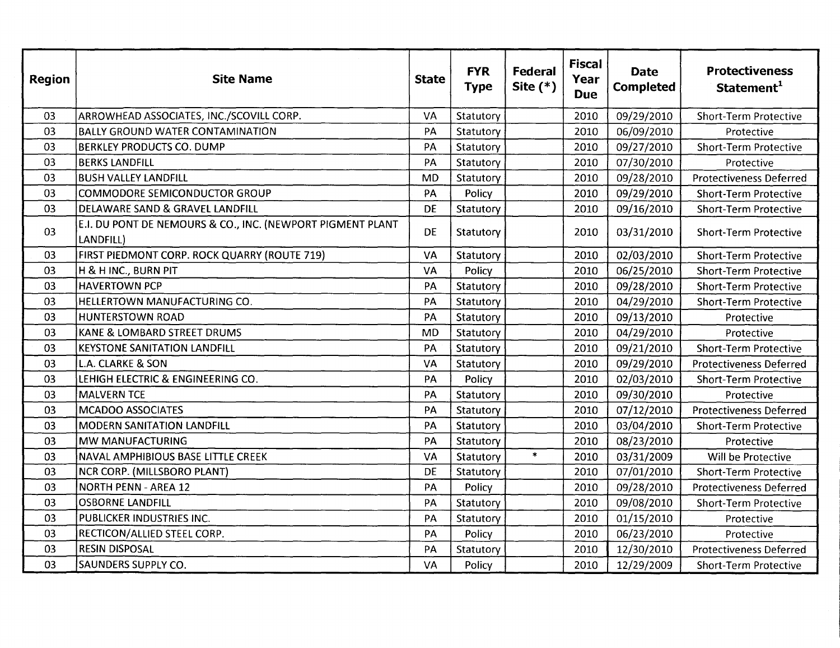| <b>Region</b> | <b>Site Name</b>                                                        | <b>State</b> | <b>FYR</b><br><b>Type</b> | <b>Federal</b><br>Site $(*)$ | <b>Fiscal</b><br>Year<br><b>Due</b> | <b>Date</b><br><b>Completed</b> | <b>Protectiveness</b><br>Statement <sup>1</sup> |
|---------------|-------------------------------------------------------------------------|--------------|---------------------------|------------------------------|-------------------------------------|---------------------------------|-------------------------------------------------|
| 03            | ARROWHEAD ASSOCIATES, INC./SCOVILL CORP.                                | VA           | Statutory                 |                              | 2010                                | 09/29/2010                      | <b>Short-Term Protective</b>                    |
| 03            | <b>BALLY GROUND WATER CONTAMINATION</b>                                 | PA           | Statutory                 |                              | 2010                                | 06/09/2010                      | Protective                                      |
| 03            | <b>BERKLEY PRODUCTS CO. DUMP</b>                                        | PA           | Statutory                 |                              | 2010                                | 09/27/2010                      | <b>Short-Term Protective</b>                    |
| 03            | <b>BERKS LANDFILL</b>                                                   | PA           | Statutory                 |                              | 2010                                | 07/30/2010                      | Protective                                      |
| 03            | BUSH VALLEY LANDFILL                                                    | <b>MD</b>    | Statutory                 |                              | 2010                                | 09/28/2010                      | <b>Protectiveness Deferred</b>                  |
| 03            | <b>COMMODORE SEMICONDUCTOR GROUP</b>                                    | PA           | Policy                    |                              | 2010                                | 09/29/2010                      | <b>Short-Term Protective</b>                    |
| 03            | DELAWARE SAND & GRAVEL LANDFILL                                         | DE           | Statutory                 |                              | 2010                                | 09/16/2010                      | <b>Short-Term Protective</b>                    |
| 03            | E.I. DU PONT DE NEMOURS & CO., INC. (NEWPORT PIGMENT PLANT<br>LANDFILL) | <b>DE</b>    | Statutory                 |                              | 2010                                | 03/31/2010                      | <b>Short-Term Protective</b>                    |
| 03            | FIRST PIEDMONT CORP. ROCK QUARRY (ROUTE 719)                            | VA           | Statutory                 |                              | 2010                                | 02/03/2010                      | <b>Short-Term Protective</b>                    |
| 03            | H & H INC., BURN PIT                                                    | VA           | Policy                    |                              | 2010                                | 06/25/2010                      | <b>Short-Term Protective</b>                    |
| 03            | <b>HAVERTOWN PCP</b>                                                    | PA           | Statutory                 |                              | 2010                                | 09/28/2010                      | <b>Short-Term Protective</b>                    |
| 03            | HELLERTOWN MANUFACTURING CO.                                            | PA           | Statutory                 |                              | 2010                                | 04/29/2010                      | <b>Short-Term Protective</b>                    |
| 03            | <b>HUNTERSTOWN ROAD</b>                                                 | PA           | Statutory                 |                              | 2010                                | 09/13/2010                      | Protective                                      |
| 03            | KANE & LOMBARD STREET DRUMS                                             | <b>MD</b>    | Statutory                 |                              | 2010                                | 04/29/2010                      | Protective                                      |
| 03            | <b>KEYSTONE SANITATION LANDFILL</b>                                     | PA           | Statutory                 |                              | 2010                                | 09/21/2010                      | <b>Short-Term Protective</b>                    |
| 03            | <b>L.A. CLARKE &amp; SON</b>                                            | VA           | Statutory                 |                              | 2010                                | 09/29/2010                      | <b>Protectiveness Deferred</b>                  |
| 03            | LEHIGH ELECTRIC & ENGINEERING CO.                                       | PA           | Policy                    |                              | 2010                                | 02/03/2010                      | <b>Short-Term Protective</b>                    |
| 03            | <b>MALVERN TCE</b>                                                      | PA           | Statutory                 |                              | 2010                                | 09/30/2010                      | Protective                                      |
| 03            | <b>MCADOO ASSOCIATES</b>                                                | PA           | Statutory                 |                              | 2010                                | 07/12/2010                      | <b>Protectiveness Deferred</b>                  |
| 03            | <b>MODERN SANITATION LANDFILL</b>                                       | PA           | Statutory                 |                              | 2010                                | 03/04/2010                      | <b>Short-Term Protective</b>                    |
| 03            | MW MANUFACTURING                                                        | PA           | Statutory                 |                              | 2010                                | 08/23/2010                      | Protective                                      |
| 03            | NAVAL AMPHIBIOUS BASE LITTLE CREEK                                      | VA           | Statutory                 | $\ast$                       | 2010                                | 03/31/2009                      | Will be Protective                              |
| 03            | NCR CORP. (MILLSBORO PLANT)                                             | <b>DE</b>    | Statutory                 |                              | 2010                                | 07/01/2010                      | <b>Short-Term Protective</b>                    |
| 03            | NORTH PENN - AREA 12                                                    | PA           | Policy                    |                              | 2010                                | 09/28/2010                      | <b>Protectiveness Deferred</b>                  |
| 03            | <b>OSBORNE LANDFILL</b>                                                 | PA           | Statutory                 |                              | 2010                                | 09/08/2010                      | <b>Short-Term Protective</b>                    |
| 03            | PUBLICKER INDUSTRIES INC.                                               | PA           | Statutory                 |                              | 2010                                | 01/15/2010                      | Protective                                      |
| 03            | RECTICON/ALLIED STEEL CORP.                                             | PA           | Policy                    |                              | 2010                                | 06/23/2010                      | Protective                                      |
| 03            | <b>RESIN DISPOSAL</b>                                                   | PA           | Statutory                 |                              | 2010                                | 12/30/2010                      | <b>Protectiveness Deferred</b>                  |
| 03            | <b>SAUNDERS SUPPLY CO.</b>                                              | VA           | Policy                    |                              | 2010                                | 12/29/2009                      | <b>Short-Term Protective</b>                    |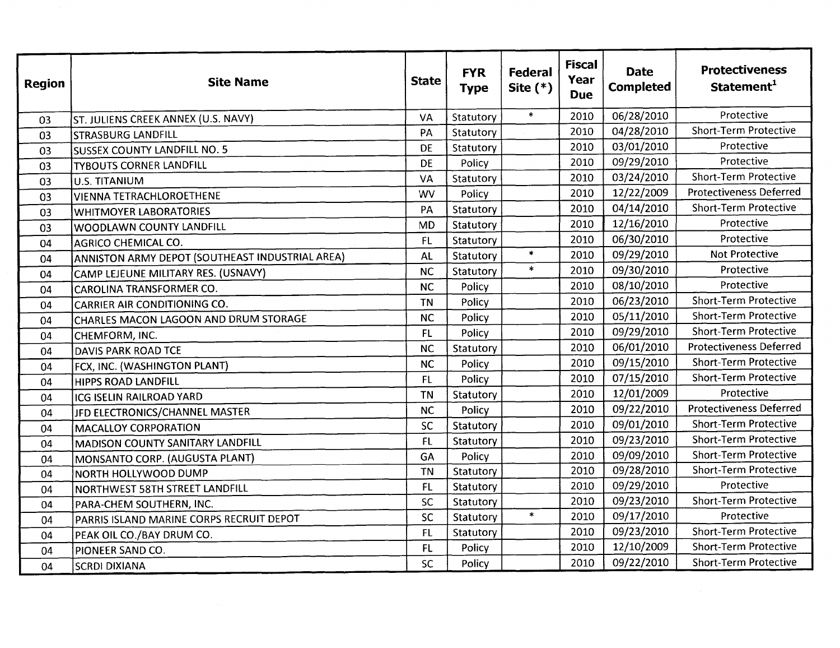| <b>Region</b> | <b>Site Name</b>                                | <b>State</b> | <b>FYR</b><br><b>Type</b> | Federal<br>Site $(*)$ | <b>Fiscal</b><br>Year<br><b>Due</b> | <b>Date</b><br><b>Completed</b> | <b>Protectiveness</b><br>Statement <sup>1</sup> |
|---------------|-------------------------------------------------|--------------|---------------------------|-----------------------|-------------------------------------|---------------------------------|-------------------------------------------------|
| 03            | ST. JULIENS CREEK ANNEX (U.S. NAVY)             | VA           | Statutory                 | $\pmb{\ast}$          | 2010                                | 06/28/2010                      | Protective                                      |
| 03            | <b>STRASBURG LANDFILL</b>                       | PA           | Statutory                 |                       | 2010                                | 04/28/2010                      | <b>Short-Term Protective</b>                    |
| 03            | <b>SUSSEX COUNTY LANDFILL NO. 5</b>             | <b>DE</b>    | Statutory                 |                       | 2010                                | 03/01/2010                      | Protective                                      |
| 03            | <b>TYBOUTS CORNER LANDFILL</b>                  | DE           | Policy                    |                       | 2010                                | 09/29/2010                      | Protective                                      |
| 03            | <b>U.S. TITANIUM</b>                            | VA           | Statutory                 |                       | 2010                                | 03/24/2010                      | <b>Short-Term Protective</b>                    |
| 03            | <b>VIENNA TETRACHLOROETHENE</b>                 | <b>WV</b>    | Policy                    |                       | 2010                                | 12/22/2009                      | <b>Protectiveness Deferred</b>                  |
| 03            | <b>WHITMOYER LABORATORIES</b>                   | PA           | Statutory                 |                       | 2010                                | 04/14/2010                      | <b>Short-Term Protective</b>                    |
| 03            | WOODLAWN COUNTY LANDFILL                        | <b>MD</b>    | Statutory                 |                       | 2010                                | 12/16/2010                      | Protective                                      |
| 04            | <b>AGRICO CHEMICAL CO.</b>                      | <b>FL</b>    | Statutory                 |                       | 2010                                | 06/30/2010                      | Protective                                      |
| 04            | ANNISTON ARMY DEPOT (SOUTHEAST INDUSTRIAL AREA) | AL           | Statutory                 | $\star$               | 2010                                | 09/29/2010                      | <b>Not Protective</b>                           |
| 04            | CAMP LEJEUNE MILITARY RES. (USNAVY)             | <b>NC</b>    | Statutory                 | $\ast$                | 2010                                | 09/30/2010                      | Protective                                      |
| 04            | CAROLINA TRANSFORMER CO.                        | <b>NC</b>    | Policy                    |                       | 2010                                | 08/10/2010                      | Protective                                      |
| 04            | <b>CARRIER AIR CONDITIONING CO.</b>             | <b>TN</b>    | Policy                    |                       | 2010                                | 06/23/2010                      | <b>Short-Term Protective</b>                    |
| 04            | CHARLES MACON LAGOON AND DRUM STORAGE           | <b>NC</b>    | Policy                    |                       | 2010                                | 05/11/2010                      | <b>Short-Term Protective</b>                    |
| 04            | CHEMFORM, INC.                                  | FL           | Policy                    |                       | 2010                                | 09/29/2010                      | <b>Short-Term Protective</b>                    |
| 04            | <b>DAVIS PARK ROAD TCE</b>                      | <b>NC</b>    | Statutory                 |                       | 2010                                | 06/01/2010                      | <b>Protectiveness Deferred</b>                  |
| 04            | FCX, INC. (WASHINGTON PLANT)                    | <b>NC</b>    | Policy                    |                       | 2010                                | 09/15/2010                      | <b>Short-Term Protective</b>                    |
| 04            | <b>HIPPS ROAD LANDFILL</b>                      | FL           | Policy                    |                       | 2010                                | 07/15/2010                      | <b>Short-Term Protective</b>                    |
| 04            | ICG ISELIN RAILROAD YARD                        | <b>TN</b>    | Statutory                 |                       | 2010                                | 12/01/2009                      | Protective                                      |
| 04            | JFD ELECTRONICS/CHANNEL MASTER                  | <b>NC</b>    | Policy                    |                       | 2010                                | 09/22/2010                      | <b>Protectiveness Deferred</b>                  |
| 04            | <b>MACALLOY CORPORATION</b>                     | SC           | Statutory                 |                       | 2010                                | 09/01/2010                      | <b>Short-Term Protective</b>                    |
| 04            | MADISON COUNTY SANITARY LANDFILL                | FL           | Statutory                 |                       | 2010                                | 09/23/2010                      | <b>Short-Term Protective</b>                    |
| 04            | MONSANTO CORP. (AUGUSTA PLANT)                  | GA           | Policy                    |                       | 2010                                | 09/09/2010                      | <b>Short-Term Protective</b>                    |
| 04            | NORTH HOLLYWOOD DUMP                            | <b>TN</b>    | Statutory                 |                       | 2010                                | 09/28/2010                      | <b>Short-Term Protective</b>                    |
| 04            | NORTHWEST 58TH STREET LANDFILL                  | FL           | Statutory                 |                       | 2010                                | 09/29/2010                      | Protective                                      |
| 04            | PARA-CHEM SOUTHERN, INC.                        | SC           | Statutory                 |                       | 2010                                | 09/23/2010                      | <b>Short-Term Protective</b>                    |
| 04            | PARRIS ISLAND MARINE CORPS RECRUIT DEPOT        | SC           | Statutory                 | $\star$               | 2010                                | 09/17/2010                      | Protective                                      |
| 04            | PEAK OIL CO./BAY DRUM CO.                       | FL           | Statutory                 |                       | 2010                                | 09/23/2010                      | <b>Short-Term Protective</b>                    |
| 04            | PIONEER SAND CO.                                | FL           | Policy                    |                       | 2010                                | 12/10/2009                      | <b>Short-Term Protective</b>                    |
| 04            | <b>SCRDI DIXIANA</b>                            | SC           | Policy                    |                       | 2010                                | 09/22/2010                      | <b>Short-Term Protective</b>                    |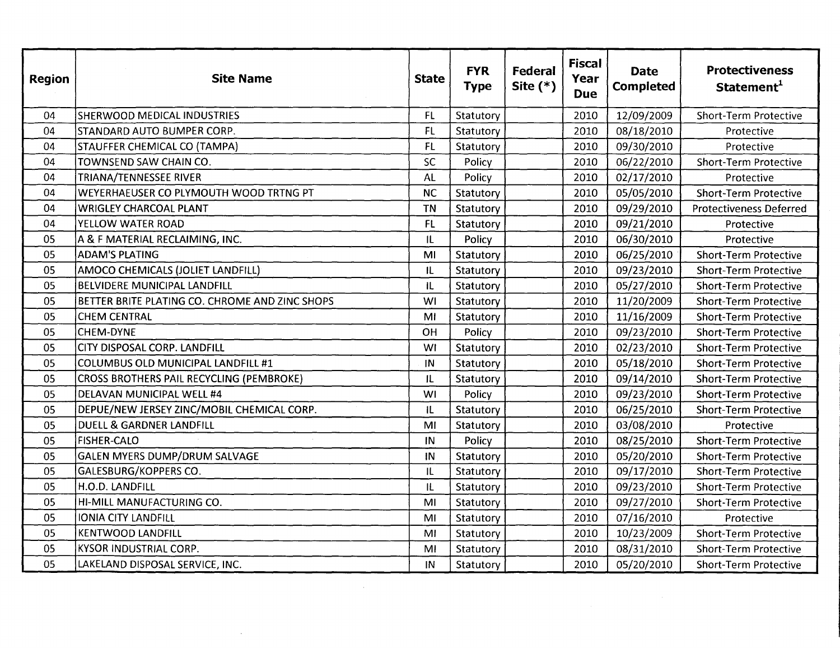| <b>Region</b> | <b>Site Name</b>                               | <b>State</b> | <b>FYR</b><br><b>Type</b> | Federal<br>Site $(*)$ | <b>Fiscal</b><br>Year<br><b>Due</b> | <b>Date</b><br><b>Completed</b> | <b>Protectiveness</b><br>Statement <sup>1</sup> |
|---------------|------------------------------------------------|--------------|---------------------------|-----------------------|-------------------------------------|---------------------------------|-------------------------------------------------|
| 04            | <b>SHERWOOD MEDICAL INDUSTRIES</b>             | FL.          | Statutory                 |                       | 2010                                | 12/09/2009                      | <b>Short-Term Protective</b>                    |
| 04            | STANDARD AUTO BUMPER CORP.                     | FL.          | Statutory                 |                       | 2010                                | 08/18/2010                      | Protective                                      |
| 04            | STAUFFER CHEMICAL CO (TAMPA)                   | FL           | Statutory                 |                       | 2010                                | 09/30/2010                      | Protective                                      |
| 04            | TOWNSEND SAW CHAIN CO.                         | <b>SC</b>    | Policy                    |                       | 2010                                | 06/22/2010                      | <b>Short-Term Protective</b>                    |
| 04            | TRIANA/TENNESSEE RIVER                         | AL           | Policy                    |                       | 2010                                | 02/17/2010                      | Protective                                      |
| 04            | WEYERHAEUSER CO PLYMOUTH WOOD TRTNG PT         | <b>NC</b>    | Statutory                 |                       | 2010                                | 05/05/2010                      | <b>Short-Term Protective</b>                    |
| 04            | <b>WRIGLEY CHARCOAL PLANT</b>                  | <b>TN</b>    | Statutory                 |                       | 2010                                | 09/29/2010                      | <b>Protectiveness Deferred</b>                  |
| 04            | YELLOW WATER ROAD                              | FL           | Statutory                 |                       | 2010                                | 09/21/2010                      | Protective                                      |
| 05            | A & F MATERIAL RECLAIMING, INC.                | IL           | Policy                    |                       | 2010                                | 06/30/2010                      | Protective                                      |
| 05            | <b>ADAM'S PLATING</b>                          | MI           | Statutory                 |                       | 2010                                | 06/25/2010                      | <b>Short-Term Protective</b>                    |
| 05            | AMOCO CHEMICALS (JOLIET LANDFILL)              | IL           | Statutory                 |                       | 2010                                | 09/23/2010                      | <b>Short-Term Protective</b>                    |
| 05            | <b>BELVIDERE MUNICIPAL LANDFILL</b>            | IL           | Statutory                 |                       | 2010                                | 05/27/2010                      | <b>Short-Term Protective</b>                    |
| 05            | BETTER BRITE PLATING CO. CHROME AND ZINC SHOPS | WI           | Statutory                 |                       | 2010                                | 11/20/2009                      | <b>Short-Term Protective</b>                    |
| 05            | <b>CHEM CENTRAL</b>                            | MI           | Statutory                 |                       | 2010                                | 11/16/2009                      | <b>Short-Term Protective</b>                    |
| 05            | CHEM-DYNE                                      | OH           | Policy                    |                       | 2010                                | 09/23/2010                      | <b>Short-Term Protective</b>                    |
| 05            | CITY DISPOSAL CORP. LANDFILL                   | WI           | Statutory                 |                       | 2010                                | 02/23/2010                      | <b>Short-Term Protective</b>                    |
| 05            | COLUMBUS OLD MUNICIPAL LANDFILL #1             | IN           | Statutory                 |                       | 2010                                | 05/18/2010                      | <b>Short-Term Protective</b>                    |
| 05            | CROSS BROTHERS PAIL RECYCLING (PEMBROKE)       | IL           | Statutory                 |                       | 2010                                | 09/14/2010                      | <b>Short-Term Protective</b>                    |
| 05            | DELAVAN MUNICIPAL WELL #4                      | WI           | Policy                    |                       | 2010                                | 09/23/2010                      | <b>Short-Term Protective</b>                    |
| 05            | DEPUE/NEW JERSEY ZINC/MOBIL CHEMICAL CORP.     | IL           | Statutory                 |                       | 2010                                | 06/25/2010                      | <b>Short-Term Protective</b>                    |
| 05            | <b>DUELL &amp; GARDNER LANDFILL</b>            | MI           | Statutory                 |                       | 2010                                | 03/08/2010                      | Protective                                      |
| 05            | <b>FISHER-CALO</b>                             | IN           | Policy                    |                       | 2010                                | 08/25/2010                      | <b>Short-Term Protective</b>                    |
| 05            | <b>GALEN MYERS DUMP/DRUM SALVAGE</b>           | IN           | Statutory                 |                       | 2010                                | 05/20/2010                      | <b>Short-Term Protective</b>                    |
| 05            | GALESBURG/KOPPERS CO.                          | IL           | Statutory                 |                       | 2010                                | 09/17/2010                      | <b>Short-Term Protective</b>                    |
| 05            | H.O.D. LANDFILL                                | IL           | Statutory                 |                       | 2010                                | 09/23/2010                      | <b>Short-Term Protective</b>                    |
| 05            | HI-MILL MANUFACTURING CO.                      | MI           | Statutory                 |                       | 2010                                | 09/27/2010                      | <b>Short-Term Protective</b>                    |
| 05            | IONIA CITY LANDFILL                            | MI           | Statutory                 |                       | 2010                                | 07/16/2010                      | Protective                                      |
| 05            | <b>KENTWOOD LANDFILL</b>                       | MI           | Statutory                 |                       | 2010                                | 10/23/2009                      | <b>Short-Term Protective</b>                    |
| 05            | KYSOR INDUSTRIAL CORP.                         | MI           | Statutory                 |                       | 2010                                | 08/31/2010                      | <b>Short-Term Protective</b>                    |
| 05            | LAKELAND DISPOSAL SERVICE, INC.                | IN           | Statutory                 |                       | 2010                                | 05/20/2010                      | Short-Term Protective                           |

 $\label{eq:2.1} \frac{1}{\sqrt{2\pi}}\int_{\mathbb{R}^3}\frac{1}{\sqrt{2\pi}}\int_{\mathbb{R}^3}\frac{1}{\sqrt{2\pi}}\int_{\mathbb{R}^3}\frac{1}{\sqrt{2\pi}}\int_{\mathbb{R}^3}\frac{1}{\sqrt{2\pi}}\int_{\mathbb{R}^3}\frac{1}{\sqrt{2\pi}}\frac{1}{\sqrt{2\pi}}\int_{\mathbb{R}^3}\frac{1}{\sqrt{2\pi}}\frac{1}{\sqrt{2\pi}}\frac{1}{\sqrt{2\pi}}\frac{1}{\sqrt{2\pi}}\frac{1}{\sqrt{2\pi}}\$ 

 $\label{eq:2.1} \mathcal{L}(\mathcal{L}^{\text{max}}_{\mathcal{L}}(\mathcal{L}^{\text{max}}_{\mathcal{L}}),\mathcal{L}^{\text{max}}_{\mathcal{L}}(\mathcal{L}^{\text{max}}_{\mathcal{L}}))$ 

 $\sim 100$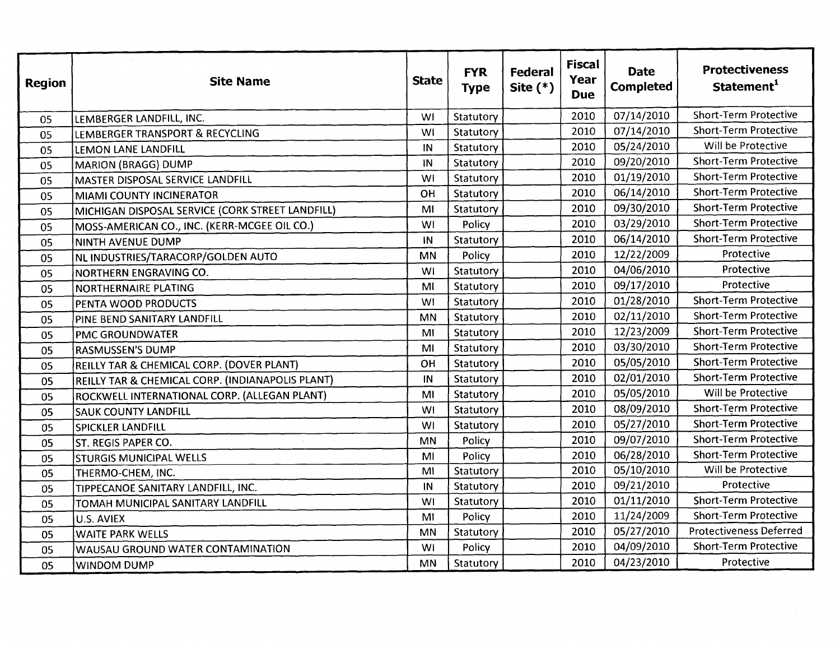| <b>Region</b> | <b>Site Name</b>                                 | <b>State</b> | <b>FYR</b><br><b>Type</b> | Federal<br>Site $(*)$ | <b>Fiscal</b><br>Year<br><b>Due</b> | <b>Date</b><br><b>Completed</b> | <b>Protectiveness</b><br>Statement <sup>1</sup> |
|---------------|--------------------------------------------------|--------------|---------------------------|-----------------------|-------------------------------------|---------------------------------|-------------------------------------------------|
| 05            | LEMBERGER LANDFILL, INC.                         | WI           | Statutory                 |                       | 2010                                | 07/14/2010                      | <b>Short-Term Protective</b>                    |
| 05            | LEMBERGER TRANSPORT & RECYCLING                  | WI           | Statutory                 |                       | 2010                                | 07/14/2010                      | <b>Short-Term Protective</b>                    |
| 05            | LEMON LANE LANDFILL                              | IN           | Statutory                 |                       | 2010                                | 05/24/2010                      | Will be Protective                              |
| 05            | <b>MARION (BRAGG) DUMP</b>                       | IN           | Statutory                 |                       | 2010                                | 09/20/2010                      | <b>Short-Term Protective</b>                    |
| 05            | MASTER DISPOSAL SERVICE LANDFILL                 | <b>WI</b>    | Statutory                 |                       | 2010                                | 01/19/2010                      | <b>Short-Term Protective</b>                    |
| 05            | <b>MIAMI COUNTY INCINERATOR</b>                  | OH           | Statutory                 |                       | 2010                                | 06/14/2010                      | <b>Short-Term Protective</b>                    |
| 05            | MICHIGAN DISPOSAL SERVICE (CORK STREET LANDFILL) | MI           | Statutory                 |                       | 2010                                | 09/30/2010                      | <b>Short-Term Protective</b>                    |
| 05            | MOSS-AMERICAN CO., INC. (KERR-MCGEE OIL CO.)     | WI           | Policy                    |                       | 2010                                | 03/29/2010                      | <b>Short-Term Protective</b>                    |
| 05            | NINTH AVENUE DUMP                                | IN           | Statutory                 |                       | 2010                                | 06/14/2010                      | <b>Short-Term Protective</b>                    |
| 05            | NL INDUSTRIES/TARACORP/GOLDEN AUTO               | MN           | Policy                    |                       | 2010                                | 12/22/2009                      | Protective                                      |
| 05            | NORTHERN ENGRAVING CO.                           | WI           | Statutory                 |                       | 2010                                | 04/06/2010                      | Protective                                      |
| 05            | <b>NORTHERNAIRE PLATING</b>                      | MI           | Statutory                 |                       | 2010                                | 09/17/2010                      | Protective                                      |
| 05            | PENTA WOOD PRODUCTS                              | <b>WI</b>    | Statutory                 |                       | 2010                                | 01/28/2010                      | <b>Short-Term Protective</b>                    |
| 05            | PINE BEND SANITARY LANDFILL                      | MN           | Statutory                 |                       | 2010                                | 02/11/2010                      | <b>Short-Term Protective</b>                    |
| 05            | <b>PMC GROUNDWATER</b>                           | MI           | Statutory                 |                       | 2010                                | 12/23/2009                      | <b>Short-Term Protective</b>                    |
| 05            | <b>RASMUSSEN'S DUMP</b>                          | MI           | Statutory                 |                       | 2010                                | 03/30/2010                      | <b>Short-Term Protective</b>                    |
| 05            | REILLY TAR & CHEMICAL CORP. (DOVER PLANT)        | OH           | Statutory                 |                       | 2010                                | 05/05/2010                      | <b>Short-Term Protective</b>                    |
| 05            | REILLY TAR & CHEMICAL CORP. (INDIANAPOLIS PLANT) | IN           | Statutory                 |                       | 2010                                | 02/01/2010                      | <b>Short-Term Protective</b>                    |
| 05            | ROCKWELL INTERNATIONAL CORP. (ALLEGAN PLANT)     | MI           | Statutory                 |                       | 2010                                | 05/05/2010                      | Will be Protective                              |
| 05            | <b>SAUK COUNTY LANDFILL</b>                      | <b>WI</b>    | Statutory                 |                       | 2010                                | 08/09/2010                      | <b>Short-Term Protective</b>                    |
| 05            | SPICKLER LANDFILL                                | WI           | Statutory                 |                       | 2010                                | 05/27/2010                      | <b>Short-Term Protective</b>                    |
| 05            | ST. REGIS PAPER CO.                              | MN           | Policy                    |                       | 2010                                | 09/07/2010                      | <b>Short-Term Protective</b>                    |
| 05            | <b>STURGIS MUNICIPAL WELLS</b>                   | MI           | Policy                    |                       | 2010                                | 06/28/2010                      | <b>Short-Term Protective</b>                    |
| 05            | THERMO-CHEM, INC.                                | MI           | Statutory                 |                       | 2010                                | 05/10/2010                      | Will be Protective                              |
| 05            | TIPPECANOE SANITARY LANDFILL, INC.               | IN           | Statutory                 |                       | 2010                                | 09/21/2010                      | Protective                                      |
| 05            | TOMAH MUNICIPAL SANITARY LANDFILL                | <b>WI</b>    | Statutory                 |                       | 2010                                | 01/11/2010                      | <b>Short-Term Protective</b>                    |
| 05            | U.S. AVIEX                                       | MI           | Policy                    |                       | 2010                                | 11/24/2009                      | <b>Short-Term Protective</b>                    |
| 05            | <b>WAITE PARK WELLS</b>                          | MN           | Statutory                 |                       | 2010                                | 05/27/2010                      | <b>Protectiveness Deferred</b>                  |
| 05            | WAUSAU GROUND WATER CONTAMINATION                | WI           | Policy                    |                       | 2010                                | 04/09/2010                      | Short-Term Protective                           |
| 05            | WINDOM DUMP                                      | MN           | Statutory                 |                       | 2010                                | 04/23/2010                      | Protective                                      |

 $\sim 10^7$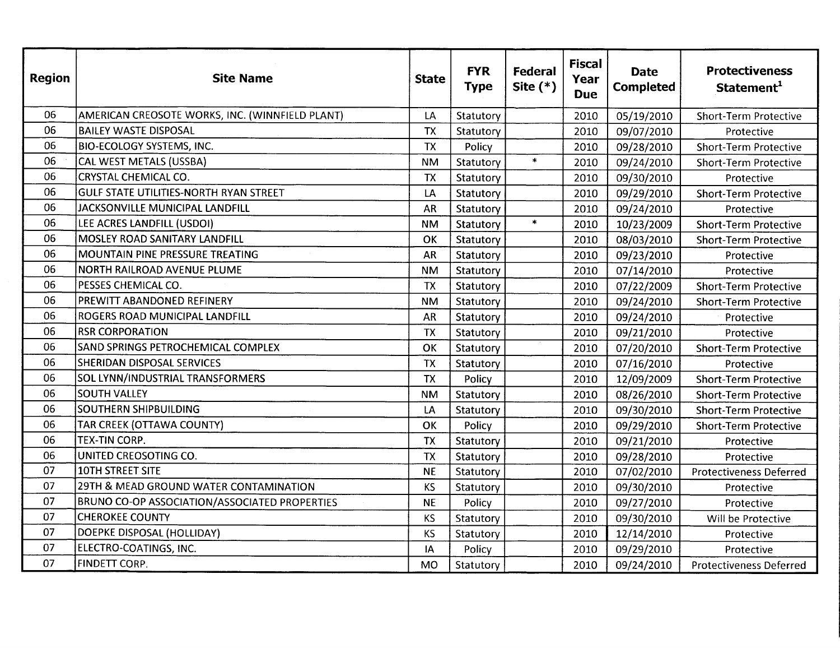| <b>Region</b> | <b>Site Name</b>                                     | <b>State</b> | <b>FYR</b><br><b>Type</b> | Federal<br>Site $(*)$ | <b>Fiscal</b><br>Year<br><b>Due</b> | <b>Date</b><br><b>Completed</b> | <b>Protectiveness</b><br>Statement <sup>1</sup> |
|---------------|------------------------------------------------------|--------------|---------------------------|-----------------------|-------------------------------------|---------------------------------|-------------------------------------------------|
| 06            | AMERICAN CREOSOTE WORKS, INC. (WINNFIELD PLANT)      | LA           | Statutory                 |                       | 2010                                | 05/19/2010                      | <b>Short-Term Protective</b>                    |
| 06            | <b>BAILEY WASTE DISPOSAL</b>                         | <b>TX</b>    | Statutory                 |                       | 2010                                | 09/07/2010                      | Protective                                      |
| 06            | <b>BIO-ECOLOGY SYSTEMS, INC.</b>                     | <b>TX</b>    | Policy                    |                       | 2010                                | 09/28/2010                      | <b>Short-Term Protective</b>                    |
| 06            | CAL WEST METALS (USSBA)                              | <b>NM</b>    | Statutory                 | $\star$               | 2010                                | 09/24/2010                      | <b>Short-Term Protective</b>                    |
| 06            | <b>CRYSTAL CHEMICAL CO.</b>                          | <b>TX</b>    | Statutory                 |                       | 2010                                | 09/30/2010                      | Protective                                      |
| 06            | GULF STATE UTILITIES-NORTH RYAN STREET               | LA           | Statutory                 |                       | 2010                                | 09/29/2010                      | <b>Short-Term Protective</b>                    |
| 06            | JACKSONVILLE MUNICIPAL LANDFILL                      | <b>AR</b>    | Statutory                 |                       | 2010                                | 09/24/2010                      | Protective                                      |
| 06            | LEE ACRES LANDFILL (USDOI)                           | <b>NM</b>    | Statutory                 | $\star$               | 2010                                | 10/23/2009                      | <b>Short-Term Protective</b>                    |
| 06            | MOSLEY ROAD SANITARY LANDFILL                        | OK           | Statutory                 |                       | 2010                                | 08/03/2010                      | <b>Short-Term Protective</b>                    |
| 06            | MOUNTAIN PINE PRESSURE TREATING                      | <b>AR</b>    | Statutory                 |                       | 2010                                | 09/23/2010                      | Protective                                      |
| 06            | NORTH RAILROAD AVENUE PLUME                          | <b>NM</b>    | Statutory                 |                       | 2010                                | 07/14/2010                      | Protective                                      |
| 06            | PESSES CHEMICAL CO.                                  | <b>TX</b>    | Statutory                 |                       | 2010                                | 07/22/2009                      | <b>Short-Term Protective</b>                    |
| 06            | PREWITT ABANDONED REFINERY                           | <b>NM</b>    | Statutory                 |                       | 2010                                | 09/24/2010                      | <b>Short-Term Protective</b>                    |
| 06            | ROGERS ROAD MUNICIPAL LANDFILL                       | <b>AR</b>    | Statutory                 |                       | 2010                                | 09/24/2010                      | Protective                                      |
| 06            | <b>RSR CORPORATION</b>                               | <b>TX</b>    | Statutory                 |                       | 2010                                | 09/21/2010                      | Protective                                      |
| 06            | <b>SAND SPRINGS PETROCHEMICAL COMPLEX</b>            | OK           | Statutory                 |                       | 2010                                | 07/20/2010                      | <b>Short-Term Protective</b>                    |
| 06            | SHERIDAN DISPOSAL SERVICES                           | <b>TX</b>    | Statutory                 |                       | 2010                                | 07/16/2010                      | Protective                                      |
| 06            | SOL LYNN/INDUSTRIAL TRANSFORMERS                     | <b>TX</b>    | Policy                    |                       | 2010                                | 12/09/2009                      | <b>Short-Term Protective</b>                    |
| 06            | <b>SOUTH VALLEY</b>                                  | <b>NM</b>    | Statutory                 |                       | 2010                                | 08/26/2010                      | <b>Short-Term Protective</b>                    |
| 06            | <b>SOUTHERN SHIPBUILDING</b>                         | LA           | Statutory                 |                       | 2010                                | 09/30/2010                      | <b>Short-Term Protective</b>                    |
| 06            | TAR CREEK (OTTAWA COUNTY)                            | OK           | Policy                    |                       | 2010                                | 09/29/2010                      | <b>Short-Term Protective</b>                    |
| 06            | TEX-TIN CORP.                                        | <b>TX</b>    | Statutory                 |                       | 2010                                | 09/21/2010                      | Protective                                      |
| 06            | UNITED CREOSOTING CO.                                | TX           | Statutory                 |                       | 2010                                | 09/28/2010                      | Protective                                      |
| 07            | 10TH STREET SITE                                     | <b>NE</b>    | Statutory                 |                       | 2010                                | 07/02/2010                      | <b>Protectiveness Deferred</b>                  |
| 07            | 29TH & MEAD GROUND WATER CONTAMINATION               | KS           | Statutory                 |                       | 2010                                | 09/30/2010                      | Protective                                      |
| 07            | <b>BRUNO CO-OP ASSOCIATION/ASSOCIATED PROPERTIES</b> | <b>NE</b>    | Policy                    |                       | 2010                                | 09/27/2010                      | Protective                                      |
| 07            | <b>CHEROKEE COUNTY</b>                               | <b>KS</b>    | Statutory                 |                       | 2010                                | 09/30/2010                      | Will be Protective                              |
| 07            | DOEPKE DISPOSAL (HOLLIDAY)                           | <b>KS</b>    | Statutory                 |                       | 2010                                | 12/14/2010                      | Protective                                      |
| 07            | ELECTRO-COATINGS, INC.                               | IА           | Policy                    |                       | 2010                                | 09/29/2010                      | Protective                                      |
| 07            | <b>FINDETT CORP.</b>                                 | MO           | Statutory                 |                       | 2010                                | 09/24/2010                      | <b>Protectiveness Deferred</b>                  |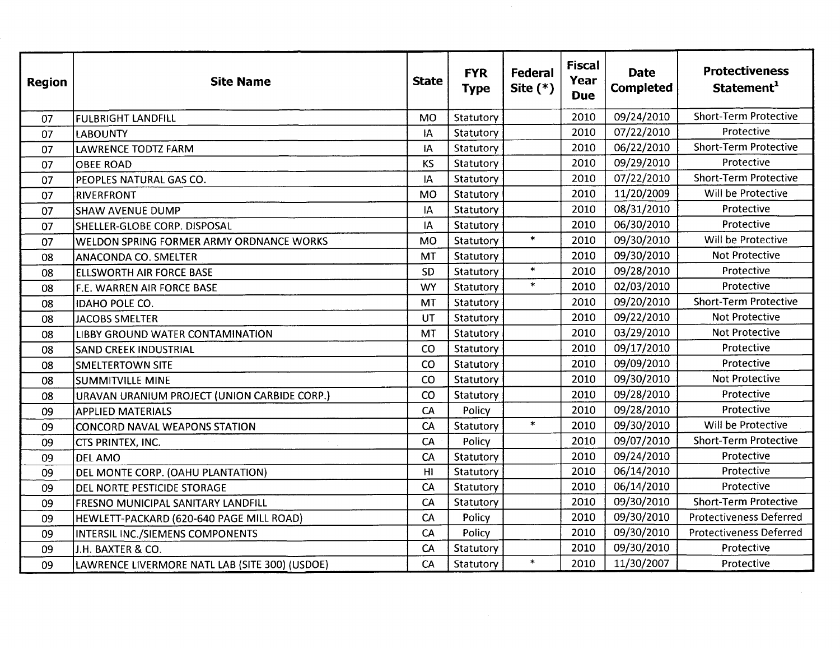| <b>Region</b> | <b>Site Name</b>                                | <b>State</b>   | <b>FYR</b><br><b>Type</b> | <b>Federal</b><br>Site $(*)$ | <b>Fiscal</b><br>Year<br><b>Due</b> | <b>Date</b><br><b>Completed</b> | <b>Protectiveness</b><br>Statement <sup>1</sup> |
|---------------|-------------------------------------------------|----------------|---------------------------|------------------------------|-------------------------------------|---------------------------------|-------------------------------------------------|
| 07            | <b>FULBRIGHT LANDFILL</b>                       | <b>MO</b>      | Statutory                 |                              | 2010                                | 09/24/2010                      | <b>Short-Term Protective</b>                    |
| 07            | <b>LABOUNTY</b>                                 | IA             | Statutory                 |                              | 2010                                | 07/22/2010                      | Protective                                      |
| 07            | LAWRENCE TODTZ FARM                             | IA             | Statutory                 |                              | 2010                                | 06/22/2010                      | <b>Short-Term Protective</b>                    |
| 07            | <b>OBEE ROAD</b>                                | <b>KS</b>      | Statutory                 |                              | 2010                                | 09/29/2010                      | Protective                                      |
| 07            | PEOPLES NATURAL GAS CO.                         | IA             | Statutory                 |                              | 2010                                | 07/22/2010                      | <b>Short-Term Protective</b>                    |
| 07            | RIVERFRONT                                      | <b>MO</b>      | Statutory                 |                              | 2010                                | 11/20/2009                      | Will be Protective                              |
| 07            | <b>SHAW AVENUE DUMP</b>                         | IA             | Statutory                 |                              | 2010                                | 08/31/2010                      | Protective                                      |
| 07            | SHELLER-GLOBE CORP. DISPOSAL                    | IA             | Statutory                 |                              | 2010                                | 06/30/2010                      | Protective                                      |
| 07            | <b>WELDON SPRING FORMER ARMY ORDNANCE WORKS</b> | <b>MO</b>      | Statutory                 | $\ast$                       | 2010                                | 09/30/2010                      | Will be Protective                              |
| 08            | <b>ANACONDA CO. SMELTER</b>                     | <b>MT</b>      | Statutory                 |                              | 2010                                | 09/30/2010                      | Not Protective                                  |
| 08            | ELLSWORTH AIR FORCE BASE                        | SD             | Statutory                 | $\pmb{\ast}$                 | 2010                                | 09/28/2010                      | Protective                                      |
| 08            | <b>F.E. WARREN AIR FORCE BASE</b>               | <b>WY</b>      | Statutory                 | $\star$                      | 2010                                | 02/03/2010                      | Protective                                      |
| 08            | IDAHO POLE CO.                                  | MT             | Statutory                 |                              | 2010                                | 09/20/2010                      | <b>Short-Term Protective</b>                    |
| 08            | <b>JACOBS SMELTER</b>                           | UT             | Statutory                 |                              | 2010                                | 09/22/2010                      | <b>Not Protective</b>                           |
| 08            | LIBBY GROUND WATER CONTAMINATION                | MT             | Statutory                 |                              | 2010                                | 03/29/2010                      | <b>Not Protective</b>                           |
| 08            | <b>SAND CREEK INDUSTRIAL</b>                    | CO             | Statutory                 |                              | 2010                                | 09/17/2010                      | Protective                                      |
| 08            | <b>SMELTERTOWN SITE</b>                         | CO             | Statutory                 |                              | 2010                                | 09/09/2010                      | Protective                                      |
| 08            | SUMMITVILLE MINE                                | CO             | Statutory                 |                              | 2010                                | 09/30/2010                      | <b>Not Protective</b>                           |
| 08            | URAVAN URANIUM PROJECT (UNION CARBIDE CORP.)    | CO             | Statutory                 |                              | 2010                                | 09/28/2010                      | Protective                                      |
| 09            | <b>APPLIED MATERIALS</b>                        | CA             | Policy                    |                              | 2010                                | 09/28/2010                      | Protective                                      |
| 09            | <b>CONCORD NAVAL WEAPONS STATION</b>            | CA             | Statutory                 | $\ast$                       | 2010                                | 09/30/2010                      | Will be Protective                              |
| 09            | CTS PRINTEX, INC.                               | CA             | Policy                    |                              | 2010                                | 09/07/2010                      | <b>Short-Term Protective</b>                    |
| 09            | <b>DEL AMO</b>                                  | CA             | Statutory                 |                              | 2010                                | 09/24/2010                      | Protective                                      |
| 09            | DEL MONTE CORP. (OAHU PLANTATION)               | H <sub>1</sub> | Statutory                 |                              | 2010                                | 06/14/2010                      | Protective                                      |
| 09            | DEL NORTE PESTICIDE STORAGE                     | CA             | Statutory                 |                              | 2010                                | 06/14/2010                      | Protective                                      |
| 09            | FRESNO MUNICIPAL SANITARY LANDFILL              | CA             | Statutory                 |                              | 2010                                | 09/30/2010                      | <b>Short-Term Protective</b>                    |
| 09            | HEWLETT-PACKARD (620-640 PAGE MILL ROAD)        | CA             | Policy                    |                              | 2010                                | 09/30/2010                      | <b>Protectiveness Deferred</b>                  |
| 09            | INTERSIL INC./SIEMENS COMPONENTS                | CA             | Policy                    |                              | 2010                                | 09/30/2010                      | <b>Protectiveness Deferred</b>                  |
| 09            | J.H. BAXTER & CO.                               | CA             | Statutory                 |                              | 2010                                | 09/30/2010                      | Protective                                      |
| 09            | LAWRENCE LIVERMORE NATL LAB (SITE 300) (USDOE)  | CA             | Statutory                 | $\ast$                       | 2010                                | 11/30/2007                      | Protective                                      |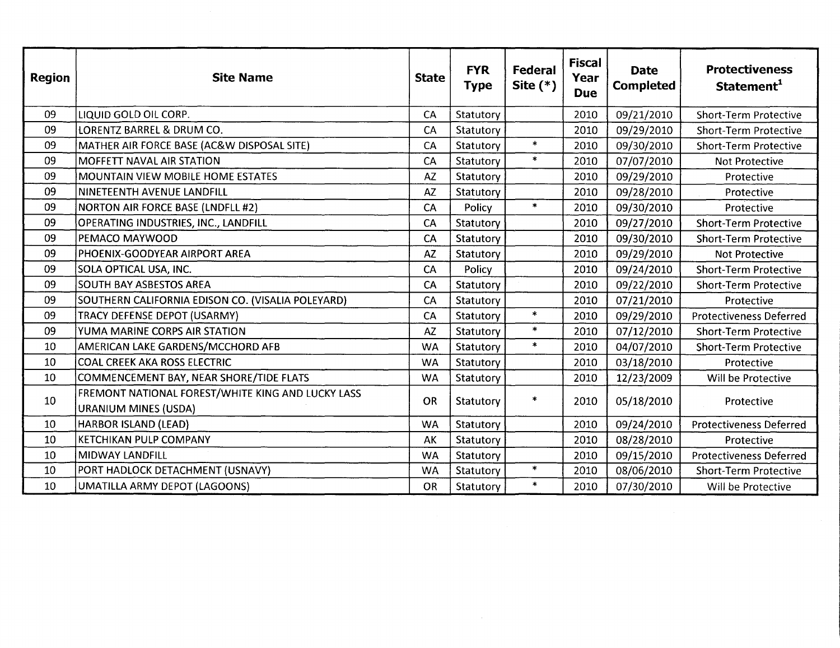| <b>Region</b> | <b>Site Name</b>                                                                 | <b>State</b> | <b>FYR</b><br><b>Type</b> | <b>Federal</b><br>Site $(*)$ | <b>Fiscal</b><br>Year<br><b>Due</b> | <b>Date</b><br><b>Completed</b> | <b>Protectiveness</b><br>Statement <sup>1</sup> |
|---------------|----------------------------------------------------------------------------------|--------------|---------------------------|------------------------------|-------------------------------------|---------------------------------|-------------------------------------------------|
| 09            | LIQUID GOLD OIL CORP.                                                            | CA           | Statutory                 |                              | 2010                                | 09/21/2010                      | <b>Short-Term Protective</b>                    |
| 09            | LORENTZ BARREL & DRUM CO.                                                        | CA           | Statutory                 |                              | 2010                                | 09/29/2010                      | <b>Short-Term Protective</b>                    |
| 09            | MATHER AIR FORCE BASE (AC&W DISPOSAL SITE)                                       | CA           | Statutory                 | $\ast$                       | 2010                                | 09/30/2010                      | <b>Short-Term Protective</b>                    |
| 09            | <b>MOFFETT NAVAL AIR STATION</b>                                                 | CA           | Statutory                 | $\ast$                       | 2010                                | 07/07/2010                      | <b>Not Protective</b>                           |
| 09            | MOUNTAIN VIEW MOBILE HOME ESTATES                                                | <b>AZ</b>    | Statutory                 |                              | 2010                                | 09/29/2010                      | Protective                                      |
| 09            | NINETEENTH AVENUE LANDFILL                                                       | AZ           | Statutory                 |                              | 2010                                | 09/28/2010                      | Protective                                      |
| 09            | <b>NORTON AIR FORCE BASE (LNDFLL #2)</b>                                         | CA           | Policy                    | $\ast$                       | 2010                                | 09/30/2010                      | Protective                                      |
| 09            | OPERATING INDUSTRIES, INC., LANDFILL                                             | CA           | Statutory                 |                              | 2010                                | 09/27/2010                      | <b>Short-Term Protective</b>                    |
| 09            | PEMACO MAYWOOD                                                                   | CA           | Statutory                 |                              | 2010                                | 09/30/2010                      | <b>Short-Term Protective</b>                    |
| 09            | PHOENIX-GOODYEAR AIRPORT AREA                                                    | <b>AZ</b>    | Statutory                 |                              | 2010                                | 09/29/2010                      | <b>Not Protective</b>                           |
| 09            | SOLA OPTICAL USA, INC.                                                           | CA           | Policy                    |                              | 2010                                | 09/24/2010                      | <b>Short-Term Protective</b>                    |
| 09            | <b>SOUTH BAY ASBESTOS AREA</b>                                                   | CA           | Statutory                 |                              | 2010                                | 09/22/2010                      | <b>Short-Term Protective</b>                    |
| 09            | SOUTHERN CALIFORNIA EDISON CO. (VISALIA POLEYARD)                                | CA           | Statutory                 |                              | 2010                                | 07/21/2010                      | Protective                                      |
| 09            | TRACY DEFENSE DEPOT (USARMY)                                                     | CA           | Statutory                 | $\ast$                       | 2010                                | 09/29/2010                      | <b>Protectiveness Deferred</b>                  |
| 09            | YUMA MARINE CORPS AIR STATION                                                    | AZ           | Statutory                 | $\ast$                       | 2010                                | 07/12/2010                      | <b>Short-Term Protective</b>                    |
| 10            | AMERICAN LAKE GARDENS/MCCHORD AFB                                                | <b>WA</b>    | Statutory                 | $\ast$                       | 2010                                | 04/07/2010                      | <b>Short-Term Protective</b>                    |
| 10            | <b>COAL CREEK AKA ROSS ELECTRIC</b>                                              | <b>WA</b>    | Statutory                 |                              | 2010                                | 03/18/2010                      | Protective                                      |
| 10            | COMMENCEMENT BAY, NEAR SHORE/TIDE FLATS                                          | <b>WA</b>    | Statutory                 |                              | 2010                                | 12/23/2009                      | Will be Protective                              |
| 10            | FREMONT NATIONAL FOREST/WHITE KING AND LUCKY LASS<br><b>URANIUM MINES (USDA)</b> | OR           | Statutory                 | *                            | 2010                                | 05/18/2010                      | Protective                                      |
| 10            | <b>HARBOR ISLAND (LEAD)</b>                                                      | <b>WA</b>    | Statutory                 |                              | 2010                                | 09/24/2010                      | <b>Protectiveness Deferred</b>                  |
| 10            | <b>KETCHIKAN PULP COMPANY</b>                                                    | AK           | Statutory                 |                              | 2010                                | 08/28/2010                      | Protective                                      |
| 10            | <b>MIDWAY LANDFILL</b>                                                           | <b>WA</b>    | Statutory                 |                              | 2010                                | 09/15/2010                      | <b>Protectiveness Deferred</b>                  |
| 10            | PORT HADLOCK DETACHMENT (USNAVY)                                                 | <b>WA</b>    | Statutory                 | $\ast$                       | 2010                                | 08/06/2010                      | <b>Short-Term Protective</b>                    |
| 10            | UMATILLA ARMY DEPOT (LAGOONS)                                                    | <b>OR</b>    | Statutory                 | $\ast$                       | 2010                                | 07/30/2010                      | Will be Protective                              |

 $\mathcal{L}^{\text{max}}_{\text{max}}$  ,  $\mathcal{L}^{\text{max}}_{\text{max}}$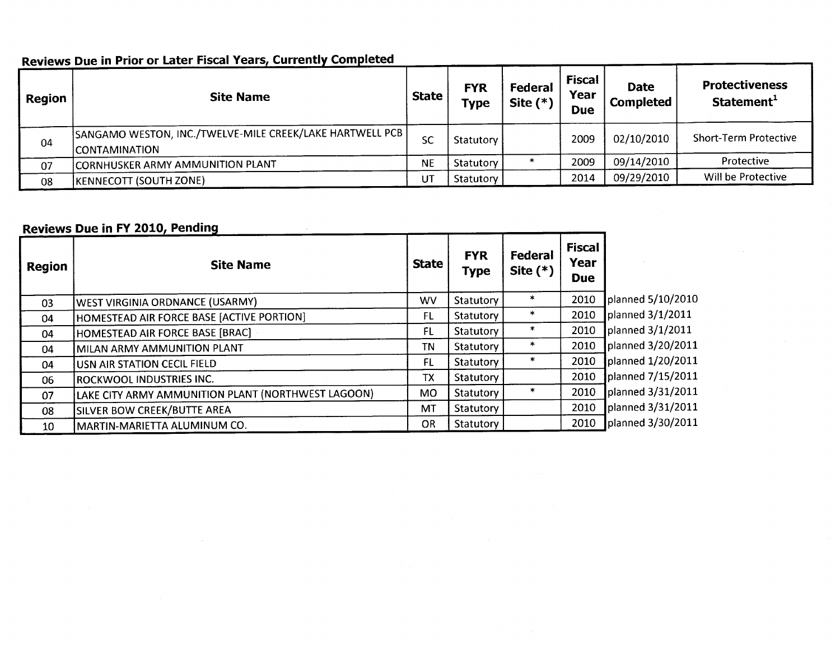| <b>Region</b> | <b>Site Name</b>                                                                   | <b>State</b> | <b>FYR</b><br><b>Type</b> | Federal<br>Site $(*)$ | <b>Fiscal</b><br>Year<br><b>Due</b> | <b>Date</b><br><b>Completed</b> | <b>Protectiveness</b><br>Statement <sup>1</sup> |
|---------------|------------------------------------------------------------------------------------|--------------|---------------------------|-----------------------|-------------------------------------|---------------------------------|-------------------------------------------------|
| 04            | SANGAMO WESTON, INC./TWELVE-MILE CREEK/LAKE HARTWELL PCB  <br><b>CONTAMINATION</b> | <b>SC</b>    | Statutory                 |                       | 2009                                | 02/10/2010                      | Short-Term Protective                           |
| 07            | CORNHUSKER ARMY AMMUNITION PLANT                                                   | <b>NE</b>    | Statutory                 |                       | 2009                                | 09/14/2010                      | Protective                                      |
| 08            | <b>(KENNECOTT (SOUTH ZONE)</b>                                                     | UT           | Statutory                 |                       | 2014                                | 09/29/2010                      | Will be Protective                              |

### Reviews Due in Prior or Later Fiscal Years, Currently Completed

# **Reviews Due in FY 2010, Pending**

| Region | <b>Site Name</b>                                   | <b>State</b> | <b>FYR</b><br><b>Type</b> | Federal<br>Site $(*)$ | <b>Fiscal</b><br>Year<br><b>Due</b> |                   |
|--------|----------------------------------------------------|--------------|---------------------------|-----------------------|-------------------------------------|-------------------|
| 03     | <b>WEST VIRGINIA ORDNANCE (USARMY)</b>             | WV           | Statutory                 | $\ast$                | 2010                                | planned 5/10/2010 |
| 04     | HOMESTEAD AIR FORCE BASE [ACTIVE PORTION]          | FL           | Statutory                 | $\ast$                | 2010                                | planned 3/1/2011  |
| 04     | HOMESTEAD AIR FORCE BASE [BRAC]                    | FL.          | Statutory                 | $\ast$                | 2010                                | planned 3/1/2011  |
| 04     | MILAN ARMY AMMUNITION PLANT                        | TN           | Statutory                 | *                     | 2010                                | planned 3/20/2011 |
| 04     | USN AIR STATION CECIL FIELD                        | FL           | Statutory                 | *                     | 2010                                | planned 1/20/2011 |
| 06     | <b>ROCKWOOL INDUSTRIES INC.</b>                    | <b>TX</b>    | Statutory                 |                       | 2010                                | planned 7/15/2011 |
| 07     | LAKE CITY ARMY AMMUNITION PLANT (NORTHWEST LAGOON) | <b>MO</b>    | Statutory                 | $\ast$                | 2010                                | planned 3/31/2011 |
| 08     | <b>SILVER BOW CREEK/BUTTE AREA</b>                 | MT           | Statutory                 |                       | 2010                                | planned 3/31/2011 |
| 10     | MARTIN-MARIETTA ALUMINUM CO.                       | <b>OR</b>    | Statutory                 |                       | 2010                                | planned 3/30/2011 |